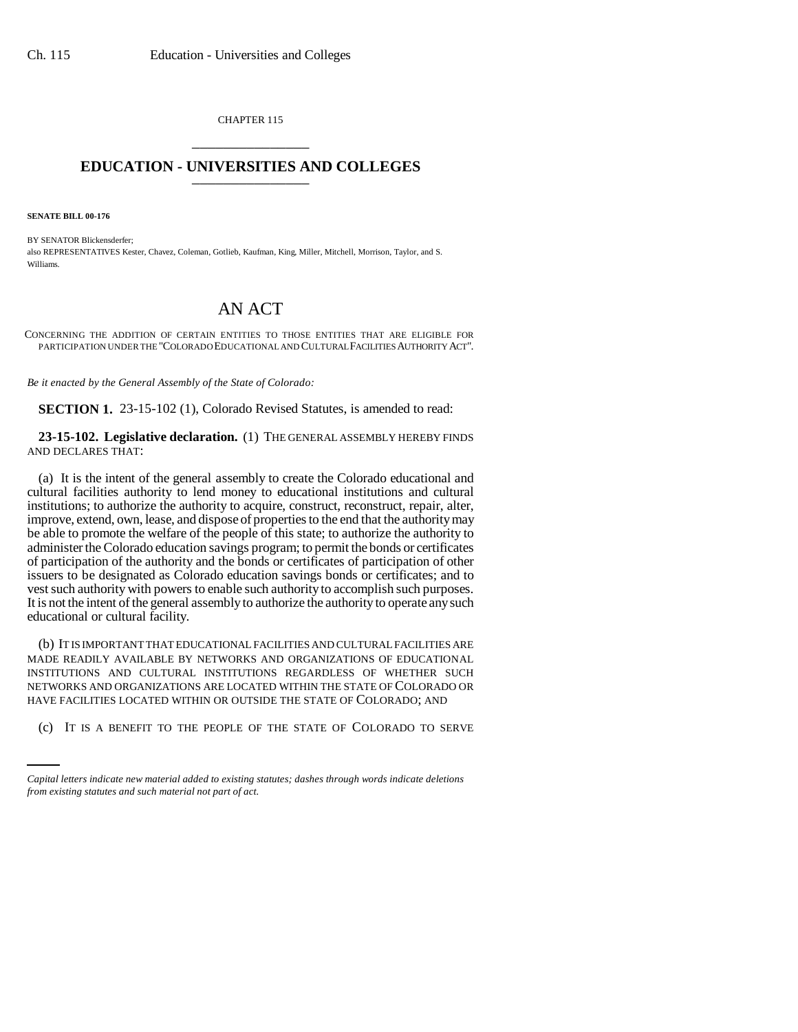CHAPTER 115 \_\_\_\_\_\_\_\_\_\_\_\_\_\_\_

## **EDUCATION - UNIVERSITIES AND COLLEGES** \_\_\_\_\_\_\_\_\_\_\_\_\_\_\_

**SENATE BILL 00-176** 

BY SENATOR Blickensderfer; also REPRESENTATIVES Kester, Chavez, Coleman, Gotlieb, Kaufman, King, Miller, Mitchell, Morrison, Taylor, and S. Williams.

## AN ACT

CONCERNING THE ADDITION OF CERTAIN ENTITIES TO THOSE ENTITIES THAT ARE ELIGIBLE FOR PARTICIPATION UNDER THE "COLORADO EDUCATIONAL AND CULTURAL FACILITIES AUTHORITY ACT".

*Be it enacted by the General Assembly of the State of Colorado:*

**SECTION 1.** 23-15-102 (1), Colorado Revised Statutes, is amended to read:

**23-15-102. Legislative declaration.** (1) THE GENERAL ASSEMBLY HEREBY FINDS AND DECLARES THAT:

(a) It is the intent of the general assembly to create the Colorado educational and cultural facilities authority to lend money to educational institutions and cultural institutions; to authorize the authority to acquire, construct, reconstruct, repair, alter, improve, extend, own, lease, and dispose of properties to the end that the authority may be able to promote the welfare of the people of this state; to authorize the authority to administer the Colorado education savings program; to permit the bonds or certificates of participation of the authority and the bonds or certificates of participation of other issuers to be designated as Colorado education savings bonds or certificates; and to vest such authority with powers to enable such authority to accomplish such purposes. It is not the intent of the general assembly to authorize the authority to operate any such educational or cultural facility.

HAVE FACILITIES LOCATED WITHIN OR OUTSIDE THE STATE OF COLORADO; AND (b) IT IS IMPORTANT THAT EDUCATIONAL FACILITIES AND CULTURAL FACILITIES ARE MADE READILY AVAILABLE BY NETWORKS AND ORGANIZATIONS OF EDUCATIONAL INSTITUTIONS AND CULTURAL INSTITUTIONS REGARDLESS OF WHETHER SUCH NETWORKS AND ORGANIZATIONS ARE LOCATED WITHIN THE STATE OF COLORADO OR

(c) IT IS A BENEFIT TO THE PEOPLE OF THE STATE OF COLORADO TO SERVE

*Capital letters indicate new material added to existing statutes; dashes through words indicate deletions from existing statutes and such material not part of act.*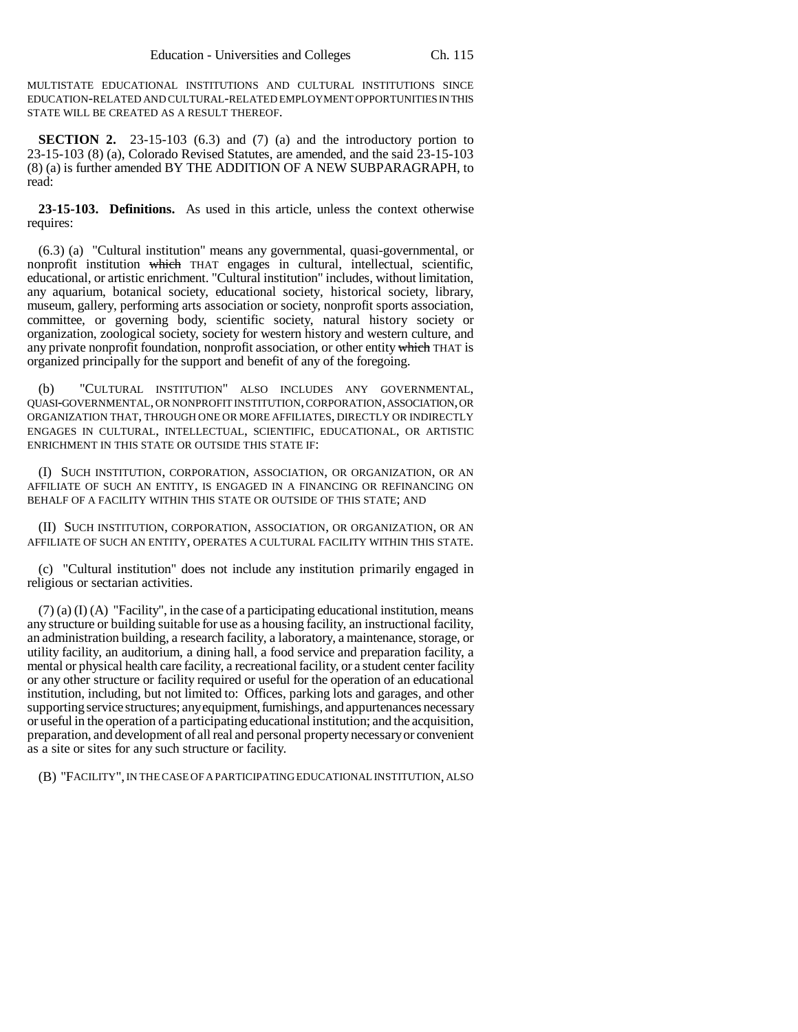MULTISTATE EDUCATIONAL INSTITUTIONS AND CULTURAL INSTITUTIONS SINCE EDUCATION-RELATED AND CULTURAL-RELATED EMPLOYMENT OPPORTUNITIES IN THIS STATE WILL BE CREATED AS A RESULT THEREOF.

**SECTION 2.** 23-15-103 (6.3) and (7) (a) and the introductory portion to 23-15-103 (8) (a), Colorado Revised Statutes, are amended, and the said 23-15-103 (8) (a) is further amended BY THE ADDITION OF A NEW SUBPARAGRAPH, to read:

**23-15-103. Definitions.** As used in this article, unless the context otherwise requires:

(6.3) (a) "Cultural institution" means any governmental, quasi-governmental, or nonprofit institution which THAT engages in cultural, intellectual, scientific, educational, or artistic enrichment. "Cultural institution" includes, without limitation, any aquarium, botanical society, educational society, historical society, library, museum, gallery, performing arts association or society, nonprofit sports association, committee, or governing body, scientific society, natural history society or organization, zoological society, society for western history and western culture, and any private nonprofit foundation, nonprofit association, or other entity which THAT is organized principally for the support and benefit of any of the foregoing.

(b) "CULTURAL INSTITUTION" ALSO INCLUDES ANY GOVERNMENTAL, QUASI-GOVERNMENTAL, OR NONPROFIT INSTITUTION, CORPORATION, ASSOCIATION, OR ORGANIZATION THAT, THROUGH ONE OR MORE AFFILIATES, DIRECTLY OR INDIRECTLY ENGAGES IN CULTURAL, INTELLECTUAL, SCIENTIFIC, EDUCATIONAL, OR ARTISTIC ENRICHMENT IN THIS STATE OR OUTSIDE THIS STATE IF:

(I) SUCH INSTITUTION, CORPORATION, ASSOCIATION, OR ORGANIZATION, OR AN AFFILIATE OF SUCH AN ENTITY, IS ENGAGED IN A FINANCING OR REFINANCING ON BEHALF OF A FACILITY WITHIN THIS STATE OR OUTSIDE OF THIS STATE; AND

(II) SUCH INSTITUTION, CORPORATION, ASSOCIATION, OR ORGANIZATION, OR AN AFFILIATE OF SUCH AN ENTITY, OPERATES A CULTURAL FACILITY WITHIN THIS STATE.

(c) "Cultural institution" does not include any institution primarily engaged in religious or sectarian activities.

 $(7)$  (a) (I) (A) "Facility", in the case of a participating educational institution, means any structure or building suitable for use as a housing facility, an instructional facility, an administration building, a research facility, a laboratory, a maintenance, storage, or utility facility, an auditorium, a dining hall, a food service and preparation facility, a mental or physical health care facility, a recreational facility, or a student center facility or any other structure or facility required or useful for the operation of an educational institution, including, but not limited to: Offices, parking lots and garages, and other supporting service structures; any equipment, furnishings, and appurtenances necessary or useful in the operation of a participating educational institution; and the acquisition, preparation, and development of all real and personal property necessary or convenient as a site or sites for any such structure or facility.

(B) "FACILITY", IN THE CASE OF A PARTICIPATING EDUCATIONAL INSTITUTION, ALSO